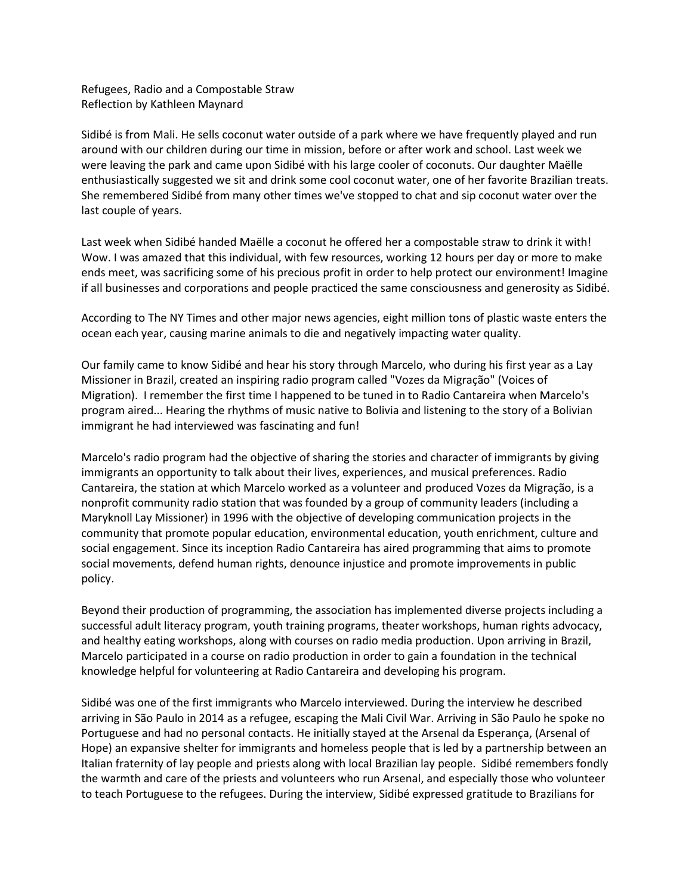Refugees, Radio and a Compostable Straw Reflection by Kathleen Maynard

Sidibé is from Mali. He sells coconut water outside of a park where we have frequently played and run around with our children during our time in mission, before or after work and school. Last week we were leaving the park and came upon Sidibé with his large cooler of coconuts. Our daughter Maëlle enthusiastically suggested we sit and drink some cool coconut water, one of her favorite Brazilian treats. She remembered Sidibé from many other times we've stopped to chat and sip coconut water over the last couple of years.

Last week when Sidibé handed Maëlle a coconut he offered her a compostable straw to drink it with! Wow. I was amazed that this individual, with few resources, working 12 hours per day or more to make ends meet, was sacrificing some of his precious profit in order to help protect our environment! Imagine if all businesses and corporations and people practiced the same consciousness and generosity as Sidibé.

According to The NY Times and other major news agencies, eight million tons of plastic waste enters the ocean each year, causing marine animals to die and negatively impacting water quality.

Our family came to know Sidibé and hear his story through Marcelo, who during his first year as a Lay Missioner in Brazil, created an inspiring radio program called "Vozes da Migração" (Voices of Migration). I remember the first time I happened to be tuned in to Radio Cantareira when Marcelo's program aired... Hearing the rhythms of music native to Bolivia and listening to the story of a Bolivian immigrant he had interviewed was fascinating and fun!

Marcelo's radio program had the objective of sharing the stories and character of immigrants by giving immigrants an opportunity to talk about their lives, experiences, and musical preferences. Radio Cantareira, the station at which Marcelo worked as a volunteer and produced Vozes da Migração, is a nonprofit community radio station that was founded by a group of community leaders (including a Maryknoll Lay Missioner) in 1996 with the objective of developing communication projects in the community that promote popular education, environmental education, youth enrichment, culture and social engagement. Since its inception Radio Cantareira has aired programming that aims to promote social movements, defend human rights, denounce injustice and promote improvements in public policy.

Beyond their production of programming, the association has implemented diverse projects including a successful adult literacy program, youth training programs, theater workshops, human rights advocacy, and healthy eating workshops, along with courses on radio media production. Upon arriving in Brazil, Marcelo participated in a course on radio production in order to gain a foundation in the technical knowledge helpful for volunteering at Radio Cantareira and developing his program.

Sidibé was one of the first immigrants who Marcelo interviewed. During the interview he described arriving in São Paulo in 2014 as a refugee, escaping the Mali Civil War. Arriving in São Paulo he spoke no Portuguese and had no personal contacts. He initially stayed at the Arsenal da Esperança, (Arsenal of Hope) an expansive shelter for immigrants and homeless people that is led by a partnership between an Italian fraternity of lay people and priests along with local Brazilian lay people. Sidibé remembers fondly the warmth and care of the priests and volunteers who run Arsenal, and especially those who volunteer to teach Portuguese to the refugees. During the interview, Sidibé expressed gratitude to Brazilians for